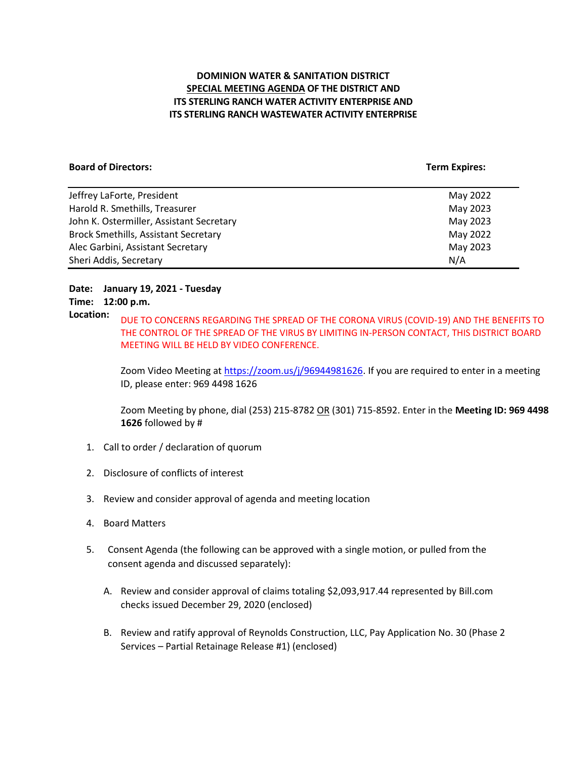# **DOMINION WATER & SANITATION DISTRICT SPECIAL MEETING AGENDA OF THE DISTRICT AND ITS STERLING RANCH WATER ACTIVITY ENTERPRISE AND ITS STERLING RANCH WASTEWATER ACTIVITY ENTERPRISE**

#### **Board of Directors:** Term Expires: Term Expires: Term Expires: Term Expires: Term Expires: Term Expires: Term Expires: Term Expires: Term Expires: Term Expires: Term Expires: Term Expires: Term Expires: Term Expires: Term

| Jeffrey LaForte, President                  | May 2022 |
|---------------------------------------------|----------|
| Harold R. Smethills, Treasurer              | May 2023 |
| John K. Ostermiller, Assistant Secretary    | May 2023 |
| <b>Brock Smethills, Assistant Secretary</b> | May 2022 |
| Alec Garbini, Assistant Secretary           | May 2023 |
| Sheri Addis, Secretary                      | N/A      |

# **Date: January 19, 2021 - Tuesday**

# **Time: 12:00 p.m.**

**Location:** DUE TO CONCERNS REGARDING THE SPREAD OF THE CORONA VIRUS (COVID-19) AND THE BENEFITS TO THE CONTROL OF THE SPREAD OF THE VIRUS BY LIMITING IN-PERSON CONTACT, THIS DISTRICT BOARD MEETING WILL BE HELD BY VIDEO CONFERENCE.

> Zoom Video Meeting at [https://zoom.us/j/96944981626.](https://zoom.us/j/96944981626) If you are required to enter in a meeting ID, please enter: 969 4498 1626

Zoom Meeting by phone, dial (253) 215-8782 OR (301) 715-8592. Enter in the **Meeting ID: 969 4498 1626** followed by #

- 1. Call to order / declaration of quorum
- 2. Disclosure of conflicts of interest
- 3. Review and consider approval of agenda and meeting location
- 4. Board Matters
- 5. Consent Agenda (the following can be approved with a single motion, or pulled from the consent agenda and discussed separately):
	- A. Review and consider approval of claims totaling \$2,093,917.44 represented by Bill.com checks issued December 29, 2020 (enclosed)
	- B. Review and ratify approval of Reynolds Construction, LLC, Pay Application No. 30 (Phase 2 Services – Partial Retainage Release #1) (enclosed)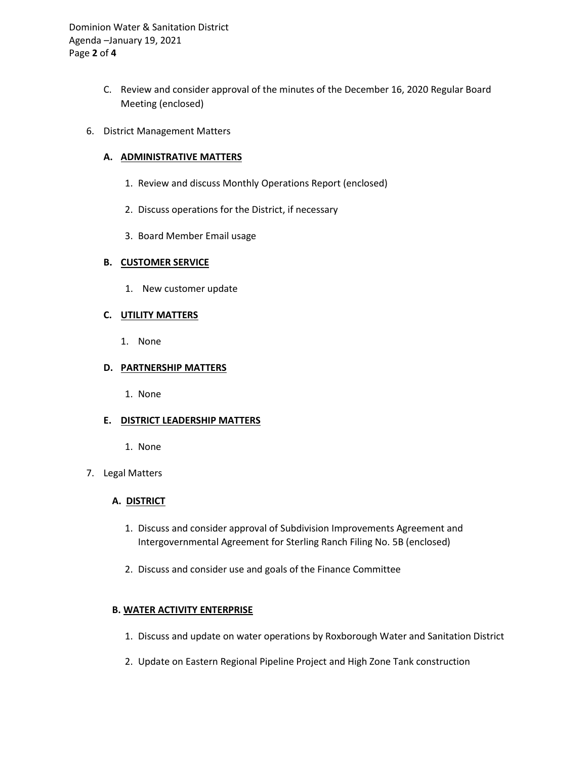Dominion Water & Sanitation District Agenda –January 19, 2021 Page **2** of **4**

- C. Review and consider approval of the minutes of the December 16, 2020 Regular Board Meeting (enclosed)
- 6. District Management Matters

## **A. ADMINISTRATIVE MATTERS**

- 1. Review and discuss Monthly Operations Report (enclosed)
- 2. Discuss operations for the District, if necessary
- 3. Board Member Email usage

## **B. CUSTOMER SERVICE**

1. New customer update

## **C. UTILITY MATTERS**

1. None

## **D. PARTNERSHIP MATTERS**

1. None

# **E. DISTRICT LEADERSHIP MATTERS**

- 1. None
- 7. Legal Matters

# **A. DISTRICT**

- 1. Discuss and consider approval of Subdivision Improvements Agreement and Intergovernmental Agreement for Sterling Ranch Filing No. 5B (enclosed)
- 2. Discuss and consider use and goals of the Finance Committee

# **B. WATER ACTIVITY ENTERPRISE**

- 1. Discuss and update on water operations by Roxborough Water and Sanitation District
- 2. Update on Eastern Regional Pipeline Project and High Zone Tank construction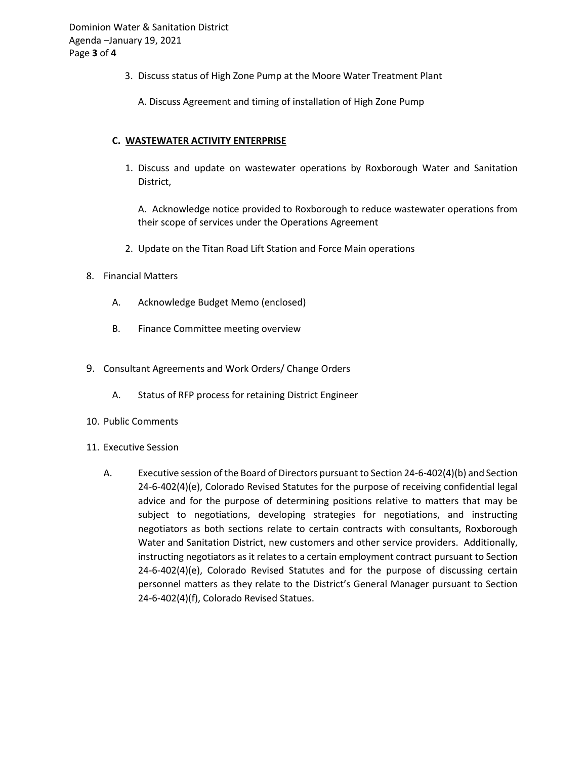- 3. Discuss status of High Zone Pump at the Moore Water Treatment Plant
	- A. Discuss Agreement and timing of installation of High Zone Pump

# **C. WASTEWATER ACTIVITY ENTERPRISE**

1. Discuss and update on wastewater operations by Roxborough Water and Sanitation District,

A. Acknowledge notice provided to Roxborough to reduce wastewater operations from their scope of services under the Operations Agreement

2. Update on the Titan Road Lift Station and Force Main operations

#### 8. Financial Matters

- A. Acknowledge Budget Memo (enclosed)
- B. Finance Committee meeting overview
- 9. Consultant Agreements and Work Orders/ Change Orders
	- A. Status of RFP process for retaining District Engineer
- 10. Public Comments
- 11. Executive Session
	- A. Executive session of the Board of Directors pursuant to Section 24-6-402(4)(b) and Section 24-6-402(4)(e), Colorado Revised Statutes for the purpose of receiving confidential legal advice and for the purpose of determining positions relative to matters that may be subject to negotiations, developing strategies for negotiations, and instructing negotiators as both sections relate to certain contracts with consultants, Roxborough Water and Sanitation District, new customers and other service providers. Additionally, instructing negotiators as it relates to a certain employment contract pursuant to Section 24-6-402(4)(e), Colorado Revised Statutes and for the purpose of discussing certain personnel matters as they relate to the District's General Manager pursuant to Section 24-6-402(4)(f), Colorado Revised Statues.